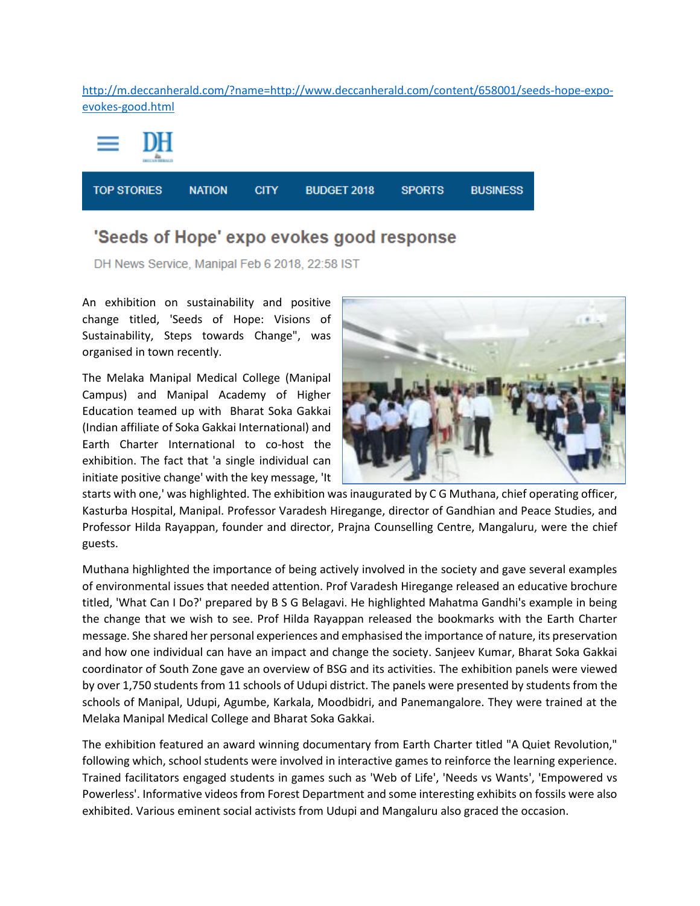[http://m.deccanherald.com/?name=http://www.deccanherald.com/content/658001/seeds-hope-expo](http://m.deccanherald.com/?name=http://www.deccanherald.com/content/658001/seeds-hope-expo-evokes-good.html)[evokes-good.html](http://m.deccanherald.com/?name=http://www.deccanherald.com/content/658001/seeds-hope-expo-evokes-good.html)



## 'Seeds of Hope' expo evokes good response

DH News Service, Manipal Feb 6 2018, 22:58 IST

An exhibition on sustainability and positive change titled, 'Seeds of Hope: Visions of Sustainability, Steps towards Change", was organised in town recently.

The Melaka Manipal Medical College (Manipal Campus) and Manipal Academy of Higher Education teamed up with Bharat Soka Gakkai (Indian affiliate of Soka Gakkai International) and Earth Charter International to co-host the exhibition. The fact that 'a single individual can initiate positive change' with the key message, 'It



starts with one,' was highlighted. The exhibition was inaugurated by C G Muthana, chief operating officer, Kasturba Hospital, Manipal. Professor Varadesh Hiregange, director of Gandhian and Peace Studies, and Professor Hilda Rayappan, founder and director, Prajna Counselling Centre, Mangaluru, were the chief guests.

Muthana highlighted the importance of being actively involved in the society and gave several examples of environmental issues that needed attention. Prof Varadesh Hiregange released an educative brochure titled, 'What Can I Do?' prepared by B S G Belagavi. He highlighted Mahatma Gandhi's example in being the change that we wish to see. Prof Hilda Rayappan released the bookmarks with the Earth Charter message. She shared her personal experiences and emphasised the importance of nature, its preservation and how one individual can have an impact and change the society. Sanjeev Kumar, Bharat Soka Gakkai coordinator of South Zone gave an overview of BSG and its activities. The exhibition panels were viewed by over 1,750 students from 11 schools of Udupi district. The panels were presented by students from the schools of Manipal, Udupi, Agumbe, Karkala, Moodbidri, and Panemangalore. They were trained at the Melaka Manipal Medical College and Bharat Soka Gakkai.

The exhibition featured an award winning documentary from Earth Charter titled "A Quiet Revolution," following which, school students were involved in interactive games to reinforce the learning experience. Trained facilitators engaged students in games such as 'Web of Life', 'Needs vs Wants', 'Empowered vs Powerless'. Informative videos from Forest Department and some interesting exhibits on fossils were also exhibited. Various eminent social activists from Udupi and Mangaluru also graced the occasion.